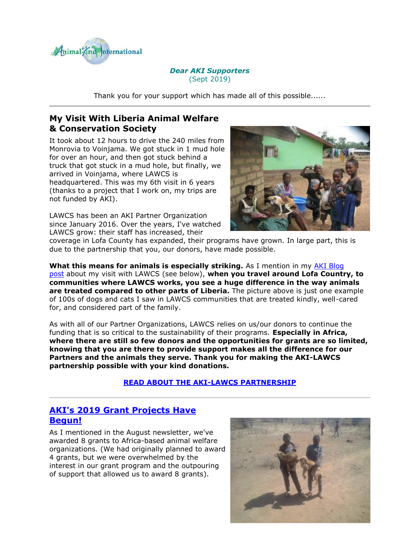

#### *Dear AKI Supporters* (Sept 2019)

Thank you for your support which has made all of this possible......

# **My Visit With Liberia Animal Welfare & Conservation Society**

It took about 12 hours to drive the 240 miles from Monrovia to Voinjama. We got stuck in 1 mud hole for over an hour, and then got stuck behind a truck that got stuck in a mud hole, but finally, we arrived in Voinjama, where LAWCS is headquartered. This was my 6th visit in 6 years (thanks to a project that I work on, my trips are not funded by AKI).

LAWCS has been an AKI Partner Organization since January 2016. Over the years, I've watched LAWCS grow: their staff has increased, their



coverage in Lofa County has expanded, their programs have grown. In large part, this is due to the partnership that you, our donors, have made possible.

**What this means for animals is especially striking.** As I mention in my [AKI Blog](http://cts.vresp.com/c/?AnimalKindInternatio/9099870bdf/4d75da415c/626aa1016e)  [post](http://cts.vresp.com/c/?AnimalKindInternatio/9099870bdf/4d75da415c/626aa1016e) about my visit with LAWCS (see below), **when you travel around Lofa Country, to communities where LAWCS works, you see a huge difference in the way animals are treated compared to other parts of Liberia.** The picture above is just one example of 100s of dogs and cats I saw in LAWCS communities that are treated kindly, well-cared for, and considered part of the family.

As with all of our Partner Organizations, LAWCS relies on us/our donors to continue the funding that is so critical to the sustainability of their programs. **Especially in Africa, where there are still so few donors and the opportunities for grants are so limited, knowing that you are there to provide support makes all the difference for our Partners and the animals they serve. Thank you for making the AKI-LAWCS partnership possible with your kind donations.**

### **[READ ABOUT THE AKI-LAWCS PARTNERSHIP](http://cts.vresp.com/c/?AnimalKindInternatio/9099870bdf/4d75da415c/3615694564)**

### **[AKI's 2019 Grant Projects Have](http://cts.vresp.com/c/?AnimalKindInternatio/9099870bdf/4d75da415c/928dadde4d)  [Begun!](http://cts.vresp.com/c/?AnimalKindInternatio/9099870bdf/4d75da415c/928dadde4d)**

As I mentioned in the August newsletter, we've awarded 8 grants to Africa-based animal welfare organizations. (We had originally planned to award 4 grants, but we were overwhelmed by the interest in our grant program and the outpouring of support that allowed us to award 8 grants).

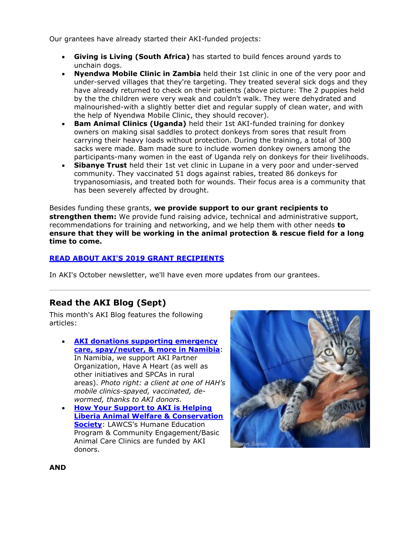Our grantees have already started their AKI-funded projects:

- **Giving is Living (South Africa)** has started to build fences around yards to unchain dogs.
- **Nyendwa Mobile Clinic in Zambia** held their 1st clinic in one of the very poor and under-served villages that they're targeting. They treated several sick dogs and they have already returned to check on their patients (above picture: The 2 puppies held by the the children were very weak and couldn't walk. They were dehydrated and malnourished-with a slightly better diet and regular supply of clean water, and with the help of Nyendwa Mobile Clinic, they should recover).
- **Bam Animal Clinics (Uganda)** held their 1st AKI-funded training for donkey owners on making sisal saddles to protect donkeys from sores that result from carrying their heavy loads without protection. During the training, a total of 300 sacks were made. Bam made sure to include women donkey owners among the participants-many women in the east of Uganda rely on donkeys for their livelihoods.
- **Sibanye Trust** held their 1st vet clinic in Lupane in a very poor and under-served community. They vaccinated 51 dogs against rabies, treated 86 donkeys for trypanosomiasis, and treated both for wounds. Their focus area is a community that has been severely affected by drought.

Besides funding these grants, **we provide support to our grant recipients to strengthen them:** We provide fund raising advice, technical and administrative support, recommendations for training and networking, and we help them with other needs **to ensure that they will be working in the animal protection & rescue field for a long time to come.**

#### **[READ ABOUT AKI'S 2019 GRANT RECIPIENTS](http://cts.vresp.com/c/?AnimalKindInternatio/9099870bdf/4d75da415c/357bf98df6)**

In AKI's October newsletter, we'll have even more updates from our grantees.

# **Read the AKI Blog (Sept)**

This month's AKI Blog features the following articles:

- **[AKI donations supporting emergency](http://cts.vresp.com/c/?AnimalKindInternatio/9099870bdf/4d75da415c/04afabb0d6)  [care, spay/neuter, & more in Namibia](http://cts.vresp.com/c/?AnimalKindInternatio/9099870bdf/4d75da415c/04afabb0d6)**: In Namibia, we support AKI Partner Organization, Have A Heart (as well as other initiatives and SPCAs in rural areas). *Photo right: a client at one of HAH's mobile clinics-spayed, vaccinated, dewormed, thanks to AKI donors.*
- **[How Your Support to AKI is Helping](http://cts.vresp.com/c/?AnimalKindInternatio/9099870bdf/4d75da415c/0ad87192d8)  [Liberia Animal Welfare & Conservation](http://cts.vresp.com/c/?AnimalKindInternatio/9099870bdf/4d75da415c/0ad87192d8)  [Society](http://cts.vresp.com/c/?AnimalKindInternatio/9099870bdf/4d75da415c/0ad87192d8)**: LAWCS's Humane Education Program & Community Engagement/Basic Animal Care Clinics are funded by AKI donors.



**AND**